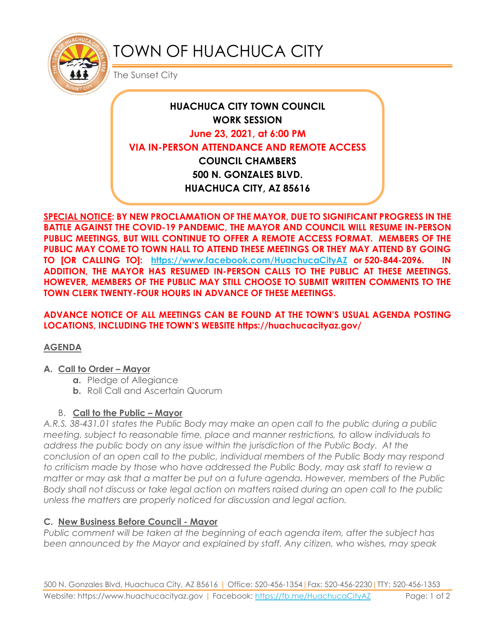

# TOWN OF HUACHUCA CITY

The Sunset City

# **HUACHUCA CITY TOWN COUNCIL WORK SESSION June 23, 2021, at 6:00 PM VIA IN-PERSON ATTENDANCE AND REMOTE ACCESS COUNCIL CHAMBERS 500 N. GONZALES BLVD. HUACHUCA CITY, AZ 85616**

**SPECIAL NOTICE: BY NEW PROCLAMATION OF THE MAYOR, DUE TO SIGNIFICANT PROGRESS IN THE BATTLE AGAINST THE COVID-19 PANDEMIC, THE MAYOR AND COUNCIL WILL RESUME IN-PERSON PUBLIC MEETINGS, BUT WILL CONTINUE TO OFFER A REMOTE ACCESS FORMAT. MEMBERS OF THE PUBLIC MAY COME TO TOWN HALL TO ATTEND THESE MEETINGS OR THEY MAY ATTEND BY GOING TO [OR CALLING TO]: <https://www.facebook.com/HuachucaCityAZ> or 520-844-2096. IN ADDITION, THE MAYOR HAS RESUMED IN-PERSON CALLS TO THE PUBLIC AT THESE MEETINGS. HOWEVER, MEMBERS OF THE PUBLIC MAY STILL CHOOSE TO SUBMIT WRITTEN COMMENTS TO THE TOWN CLERK TWENTY-FOUR HOURS IN ADVANCE OF THESE MEETINGS.** 

**ADVANCE NOTICE OF ALL MEETINGS CAN BE FOUND AT THE TOWN'S USUAL AGENDA POSTING LOCATIONS, INCLUDING THE TOWN'S WEBSITE https://huachucacityaz.gov/**

## **AGENDA**

#### **A. Call to Order – Mayor**

- **a.** Pledge of Allegiance
- **b.** Roll Call and Ascertain Quorum

## B. **Call to the Public – Mayor**

*A.R.S. 38-431.01 states the Public Body may make an open call to the public during a public meeting, subject to reasonable time, place and manner restrictions, to allow individuals to address the public body on any issue within the jurisdiction of the Public Body. At the conclusion of an open call to the public, individual members of the Public Body may respond to criticism made by those who have addressed the Public Body, may ask staff to review a matter or may ask that a matter be put on a future agenda. However, members of the Public Body shall not discuss or take legal action on matters raised during an open call to the public unless the matters are properly noticed for discussion and legal action.*

## **C. New Business Before Council - Mayor**

*Public comment will be taken at the beginning of each agenda item, after the subject has been announced by the Mayor and explained by staff. Any citizen, who wishes, may speak*